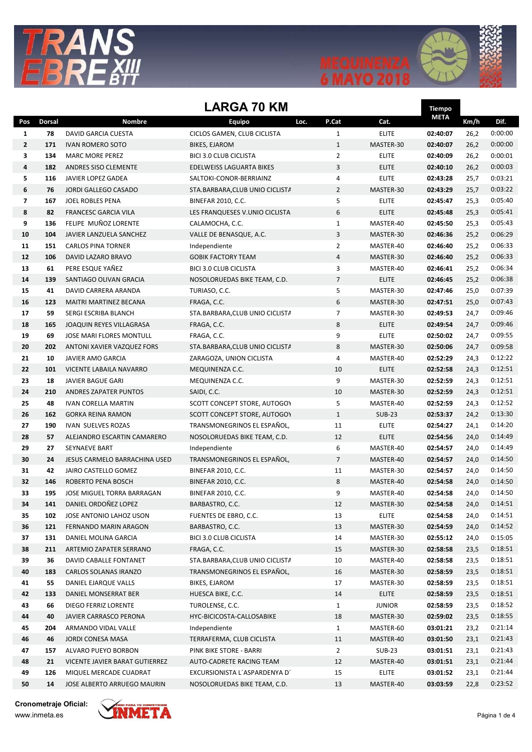





## LARGA 70 KM

|               |                                                                                                                           | <b>LARGA 70 KM</b>                                                                                                                                                                                                                                                                                                                                                                                                                                                                                                                           |                                                                                                                                                                                                                                                                                                                                                                                                                                            |                                                                                                                                                                            | Tiempo                                                                                                                                                                                                                                                                                 |                                                                                                                                                                                                                                              |                                                                                                                                                      |
|---------------|---------------------------------------------------------------------------------------------------------------------------|----------------------------------------------------------------------------------------------------------------------------------------------------------------------------------------------------------------------------------------------------------------------------------------------------------------------------------------------------------------------------------------------------------------------------------------------------------------------------------------------------------------------------------------------|--------------------------------------------------------------------------------------------------------------------------------------------------------------------------------------------------------------------------------------------------------------------------------------------------------------------------------------------------------------------------------------------------------------------------------------------|----------------------------------------------------------------------------------------------------------------------------------------------------------------------------|----------------------------------------------------------------------------------------------------------------------------------------------------------------------------------------------------------------------------------------------------------------------------------------|----------------------------------------------------------------------------------------------------------------------------------------------------------------------------------------------------------------------------------------------|------------------------------------------------------------------------------------------------------------------------------------------------------|
| <b>Dorsal</b> | Nombre                                                                                                                    | Equipo                                                                                                                                                                                                                                                                                                                                                                                                                                                                                                                                       | P.Cat<br>Loc.                                                                                                                                                                                                                                                                                                                                                                                                                              | Cat.                                                                                                                                                                       | <b>META</b>                                                                                                                                                                                                                                                                            | Km/h                                                                                                                                                                                                                                         | Dif.                                                                                                                                                 |
| 78            | <b>DAVID GARCIA CUESTA</b>                                                                                                | CICLOS GAMEN, CLUB CICLISTA                                                                                                                                                                                                                                                                                                                                                                                                                                                                                                                  | $\mathbf{1}$                                                                                                                                                                                                                                                                                                                                                                                                                               | <b>ELITE</b>                                                                                                                                                               | 02:40:07                                                                                                                                                                                                                                                                               | 26,2                                                                                                                                                                                                                                         | 0:00:00                                                                                                                                              |
| 171           | <b>IVAN ROMERO SOTO</b>                                                                                                   | <b>BIKES, EJAROM</b>                                                                                                                                                                                                                                                                                                                                                                                                                                                                                                                         | $\mathbf{1}$                                                                                                                                                                                                                                                                                                                                                                                                                               | MASTER-30                                                                                                                                                                  | 02:40:07                                                                                                                                                                                                                                                                               | 26,2                                                                                                                                                                                                                                         | 0:00:00                                                                                                                                              |
| 134           | <b>MARC MORE PEREZ</b>                                                                                                    | <b>BICI 3.0 CLUB CICLISTA</b>                                                                                                                                                                                                                                                                                                                                                                                                                                                                                                                | $\overline{2}$                                                                                                                                                                                                                                                                                                                                                                                                                             | <b>ELITE</b>                                                                                                                                                               | 02:40:09                                                                                                                                                                                                                                                                               | 26,2                                                                                                                                                                                                                                         | 0:00:01                                                                                                                                              |
| 182           | ANDRES SISO CLEMENTE                                                                                                      | EDELWEISS LAGUARTA BIKES                                                                                                                                                                                                                                                                                                                                                                                                                                                                                                                     | 3                                                                                                                                                                                                                                                                                                                                                                                                                                          | <b>ELITE</b>                                                                                                                                                               | 02:40:10                                                                                                                                                                                                                                                                               | 26,2                                                                                                                                                                                                                                         | 0:00:03                                                                                                                                              |
| 116           | JAVIER LOPEZ GADEA                                                                                                        | SALTOKI-CONOR-BERRIAINZ                                                                                                                                                                                                                                                                                                                                                                                                                                                                                                                      | 4                                                                                                                                                                                                                                                                                                                                                                                                                                          | <b>ELITE</b>                                                                                                                                                               | 02:43:28                                                                                                                                                                                                                                                                               | 25,7                                                                                                                                                                                                                                         | 0:03:21                                                                                                                                              |
| 76            | JORDI GALLEGO CASADO                                                                                                      | STA.BARBARA, CLUB UNIO CICLISTA                                                                                                                                                                                                                                                                                                                                                                                                                                                                                                              | $\overline{2}$                                                                                                                                                                                                                                                                                                                                                                                                                             | MASTER-30                                                                                                                                                                  | 02:43:29                                                                                                                                                                                                                                                                               | 25,7                                                                                                                                                                                                                                         | 0:03:22                                                                                                                                              |
| 167           | JOEL ROBLES PENA                                                                                                          | <b>BINEFAR 2010, C.C.</b>                                                                                                                                                                                                                                                                                                                                                                                                                                                                                                                    | 5                                                                                                                                                                                                                                                                                                                                                                                                                                          | <b>ELITE</b>                                                                                                                                                               | 02:45:47                                                                                                                                                                                                                                                                               | 25,3                                                                                                                                                                                                                                         | 0:05:40                                                                                                                                              |
| 82            | <b>FRANCESC GARCIA VILA</b>                                                                                               | LES FRANQUESES V.UNIO CICLISTA                                                                                                                                                                                                                                                                                                                                                                                                                                                                                                               | 6                                                                                                                                                                                                                                                                                                                                                                                                                                          | <b>ELITE</b>                                                                                                                                                               | 02:45:48                                                                                                                                                                                                                                                                               | 25,3                                                                                                                                                                                                                                         | 0:05:41                                                                                                                                              |
| 136           | FELIPE MUÑOZ LORENTE                                                                                                      | CALAMOCHA, C.C.                                                                                                                                                                                                                                                                                                                                                                                                                                                                                                                              | $\mathbf{1}$                                                                                                                                                                                                                                                                                                                                                                                                                               | MASTER-40                                                                                                                                                                  | 02:45:50                                                                                                                                                                                                                                                                               | 25,3                                                                                                                                                                                                                                         | 0:05:43                                                                                                                                              |
| 104           | JAVIER LANZUELA SANCHEZ                                                                                                   | VALLE DE BENASQUE, A.C.                                                                                                                                                                                                                                                                                                                                                                                                                                                                                                                      | 3                                                                                                                                                                                                                                                                                                                                                                                                                                          | MASTER-30                                                                                                                                                                  | 02:46:36                                                                                                                                                                                                                                                                               | 25,2                                                                                                                                                                                                                                         | 0:06:29                                                                                                                                              |
| 151           | <b>CARLOS PINA TORNER</b>                                                                                                 | Independiente                                                                                                                                                                                                                                                                                                                                                                                                                                                                                                                                | $\overline{2}$                                                                                                                                                                                                                                                                                                                                                                                                                             | MASTER-40                                                                                                                                                                  | 02:46:40                                                                                                                                                                                                                                                                               | 25,2                                                                                                                                                                                                                                         | 0:06:33                                                                                                                                              |
| 106           | DAVID LAZARO BRAVO                                                                                                        | <b>GOBIK FACTORY TEAM</b>                                                                                                                                                                                                                                                                                                                                                                                                                                                                                                                    | 4                                                                                                                                                                                                                                                                                                                                                                                                                                          | MASTER-30                                                                                                                                                                  | 02:46:40                                                                                                                                                                                                                                                                               | 25,2                                                                                                                                                                                                                                         | 0:06:33                                                                                                                                              |
| 61            | PERE ESQUE YAÑEZ                                                                                                          | <b>BICI 3.0 CLUB CICLISTA</b>                                                                                                                                                                                                                                                                                                                                                                                                                                                                                                                | 3                                                                                                                                                                                                                                                                                                                                                                                                                                          | MASTER-40                                                                                                                                                                  | 02:46:41                                                                                                                                                                                                                                                                               | 25,2                                                                                                                                                                                                                                         | 0:06:34                                                                                                                                              |
| 139           | SANTIAGO OLIVAN GRACIA                                                                                                    | NOSOLORUEDAS BIKE TEAM, C.D.                                                                                                                                                                                                                                                                                                                                                                                                                                                                                                                 |                                                                                                                                                                                                                                                                                                                                                                                                                                            | <b>ELITE</b>                                                                                                                                                               | 02:46:45                                                                                                                                                                                                                                                                               | 25,2                                                                                                                                                                                                                                         | 0:06:38                                                                                                                                              |
| 41            | DAVID CARRERA ARANDA                                                                                                      | TURIASO, C.C.                                                                                                                                                                                                                                                                                                                                                                                                                                                                                                                                | 5                                                                                                                                                                                                                                                                                                                                                                                                                                          | MASTER-30                                                                                                                                                                  | 02:47:46                                                                                                                                                                                                                                                                               | 25,0                                                                                                                                                                                                                                         | 0:07:39                                                                                                                                              |
| 123           | MAITRI MARTINEZ BECANA                                                                                                    | FRAGA, C.C.                                                                                                                                                                                                                                                                                                                                                                                                                                                                                                                                  |                                                                                                                                                                                                                                                                                                                                                                                                                                            | MASTER-30                                                                                                                                                                  | 02:47:51                                                                                                                                                                                                                                                                               | 25,0                                                                                                                                                                                                                                         | 0:07:43                                                                                                                                              |
| 59            | SERGI ESCRIBA BLANCH                                                                                                      | STA.BARBARA, CLUB UNIO CICLISTA                                                                                                                                                                                                                                                                                                                                                                                                                                                                                                              |                                                                                                                                                                                                                                                                                                                                                                                                                                            | MASTER-30                                                                                                                                                                  | 02:49:53                                                                                                                                                                                                                                                                               | 24,7                                                                                                                                                                                                                                         | 0:09:46                                                                                                                                              |
|               |                                                                                                                           | FRAGA, C.C.                                                                                                                                                                                                                                                                                                                                                                                                                                                                                                                                  |                                                                                                                                                                                                                                                                                                                                                                                                                                            |                                                                                                                                                                            |                                                                                                                                                                                                                                                                                        | 24,7                                                                                                                                                                                                                                         | 0:09:46                                                                                                                                              |
|               |                                                                                                                           |                                                                                                                                                                                                                                                                                                                                                                                                                                                                                                                                              |                                                                                                                                                                                                                                                                                                                                                                                                                                            |                                                                                                                                                                            |                                                                                                                                                                                                                                                                                        |                                                                                                                                                                                                                                              | 0:09:55                                                                                                                                              |
|               |                                                                                                                           |                                                                                                                                                                                                                                                                                                                                                                                                                                                                                                                                              |                                                                                                                                                                                                                                                                                                                                                                                                                                            |                                                                                                                                                                            |                                                                                                                                                                                                                                                                                        |                                                                                                                                                                                                                                              | 0:09:58                                                                                                                                              |
|               |                                                                                                                           |                                                                                                                                                                                                                                                                                                                                                                                                                                                                                                                                              |                                                                                                                                                                                                                                                                                                                                                                                                                                            |                                                                                                                                                                            |                                                                                                                                                                                                                                                                                        |                                                                                                                                                                                                                                              | 0:12:22                                                                                                                                              |
|               |                                                                                                                           |                                                                                                                                                                                                                                                                                                                                                                                                                                                                                                                                              |                                                                                                                                                                                                                                                                                                                                                                                                                                            |                                                                                                                                                                            |                                                                                                                                                                                                                                                                                        |                                                                                                                                                                                                                                              | 0:12:51                                                                                                                                              |
|               |                                                                                                                           |                                                                                                                                                                                                                                                                                                                                                                                                                                                                                                                                              |                                                                                                                                                                                                                                                                                                                                                                                                                                            |                                                                                                                                                                            |                                                                                                                                                                                                                                                                                        |                                                                                                                                                                                                                                              | 0:12:51                                                                                                                                              |
|               |                                                                                                                           |                                                                                                                                                                                                                                                                                                                                                                                                                                                                                                                                              |                                                                                                                                                                                                                                                                                                                                                                                                                                            |                                                                                                                                                                            |                                                                                                                                                                                                                                                                                        |                                                                                                                                                                                                                                              | 0:12:51                                                                                                                                              |
|               |                                                                                                                           |                                                                                                                                                                                                                                                                                                                                                                                                                                                                                                                                              |                                                                                                                                                                                                                                                                                                                                                                                                                                            |                                                                                                                                                                            |                                                                                                                                                                                                                                                                                        |                                                                                                                                                                                                                                              | 0:12:52                                                                                                                                              |
|               |                                                                                                                           |                                                                                                                                                                                                                                                                                                                                                                                                                                                                                                                                              |                                                                                                                                                                                                                                                                                                                                                                                                                                            |                                                                                                                                                                            |                                                                                                                                                                                                                                                                                        |                                                                                                                                                                                                                                              | 0:13:30                                                                                                                                              |
|               |                                                                                                                           |                                                                                                                                                                                                                                                                                                                                                                                                                                                                                                                                              |                                                                                                                                                                                                                                                                                                                                                                                                                                            |                                                                                                                                                                            |                                                                                                                                                                                                                                                                                        |                                                                                                                                                                                                                                              | 0:14:20<br>0:14:49                                                                                                                                   |
|               |                                                                                                                           |                                                                                                                                                                                                                                                                                                                                                                                                                                                                                                                                              |                                                                                                                                                                                                                                                                                                                                                                                                                                            |                                                                                                                                                                            |                                                                                                                                                                                                                                                                                        |                                                                                                                                                                                                                                              | 0:14:49                                                                                                                                              |
|               |                                                                                                                           |                                                                                                                                                                                                                                                                                                                                                                                                                                                                                                                                              |                                                                                                                                                                                                                                                                                                                                                                                                                                            |                                                                                                                                                                            |                                                                                                                                                                                                                                                                                        |                                                                                                                                                                                                                                              | 0:14:50                                                                                                                                              |
|               |                                                                                                                           |                                                                                                                                                                                                                                                                                                                                                                                                                                                                                                                                              |                                                                                                                                                                                                                                                                                                                                                                                                                                            |                                                                                                                                                                            |                                                                                                                                                                                                                                                                                        |                                                                                                                                                                                                                                              | 0:14:50                                                                                                                                              |
|               |                                                                                                                           |                                                                                                                                                                                                                                                                                                                                                                                                                                                                                                                                              |                                                                                                                                                                                                                                                                                                                                                                                                                                            |                                                                                                                                                                            |                                                                                                                                                                                                                                                                                        |                                                                                                                                                                                                                                              | 0:14:50                                                                                                                                              |
|               |                                                                                                                           |                                                                                                                                                                                                                                                                                                                                                                                                                                                                                                                                              |                                                                                                                                                                                                                                                                                                                                                                                                                                            |                                                                                                                                                                            |                                                                                                                                                                                                                                                                                        |                                                                                                                                                                                                                                              | 0:14:50                                                                                                                                              |
|               |                                                                                                                           |                                                                                                                                                                                                                                                                                                                                                                                                                                                                                                                                              |                                                                                                                                                                                                                                                                                                                                                                                                                                            |                                                                                                                                                                            |                                                                                                                                                                                                                                                                                        |                                                                                                                                                                                                                                              | 0:14:51                                                                                                                                              |
|               |                                                                                                                           |                                                                                                                                                                                                                                                                                                                                                                                                                                                                                                                                              |                                                                                                                                                                                                                                                                                                                                                                                                                                            |                                                                                                                                                                            |                                                                                                                                                                                                                                                                                        |                                                                                                                                                                                                                                              | 0:14:51                                                                                                                                              |
|               |                                                                                                                           | BARBASTRO, C.C.                                                                                                                                                                                                                                                                                                                                                                                                                                                                                                                              |                                                                                                                                                                                                                                                                                                                                                                                                                                            |                                                                                                                                                                            |                                                                                                                                                                                                                                                                                        |                                                                                                                                                                                                                                              | 0:14:52                                                                                                                                              |
| 131           | DANIEL MOLINA GARCIA                                                                                                      | <b>BICI 3.0 CLUB CICLISTA</b>                                                                                                                                                                                                                                                                                                                                                                                                                                                                                                                |                                                                                                                                                                                                                                                                                                                                                                                                                                            |                                                                                                                                                                            |                                                                                                                                                                                                                                                                                        |                                                                                                                                                                                                                                              | 0:15:05                                                                                                                                              |
| 211           | ARTEMIO ZAPATER SERRANO                                                                                                   | FRAGA, C.C.                                                                                                                                                                                                                                                                                                                                                                                                                                                                                                                                  | 15                                                                                                                                                                                                                                                                                                                                                                                                                                         | MASTER-30                                                                                                                                                                  | 02:58:58                                                                                                                                                                                                                                                                               | 23,5                                                                                                                                                                                                                                         | 0:18:51                                                                                                                                              |
| 36            | DAVID CABALLE FONTANET                                                                                                    | STA.BARBARA, CLUB UNIO CICLISTA                                                                                                                                                                                                                                                                                                                                                                                                                                                                                                              | 10                                                                                                                                                                                                                                                                                                                                                                                                                                         | MASTER-40                                                                                                                                                                  | 02:58:58                                                                                                                                                                                                                                                                               | 23,5                                                                                                                                                                                                                                         | 0:18:51                                                                                                                                              |
| 183           | CARLOS SOLANAS IRANZO                                                                                                     | TRANSMONEGRINOS EL ESPAÑOL,                                                                                                                                                                                                                                                                                                                                                                                                                                                                                                                  | 16                                                                                                                                                                                                                                                                                                                                                                                                                                         | MASTER-30                                                                                                                                                                  | 02:58:59                                                                                                                                                                                                                                                                               | 23,5                                                                                                                                                                                                                                         | 0:18:51                                                                                                                                              |
| 55            | DANIEL EJARQUE VALLS                                                                                                      | BIKES, EJAROM                                                                                                                                                                                                                                                                                                                                                                                                                                                                                                                                | 17                                                                                                                                                                                                                                                                                                                                                                                                                                         | MASTER-30                                                                                                                                                                  | 02:58:59                                                                                                                                                                                                                                                                               | 23,5                                                                                                                                                                                                                                         | 0:18:51                                                                                                                                              |
| 133           | DANIEL MONSERRAT BER                                                                                                      | HUESCA BIKE, C.C.                                                                                                                                                                                                                                                                                                                                                                                                                                                                                                                            | 14                                                                                                                                                                                                                                                                                                                                                                                                                                         | <b>ELITE</b>                                                                                                                                                               | 02:58:59                                                                                                                                                                                                                                                                               | 23,5                                                                                                                                                                                                                                         | 0:18:51                                                                                                                                              |
| 66            | DIEGO FERRIZ LORENTE                                                                                                      | TUROLENSE, C.C.                                                                                                                                                                                                                                                                                                                                                                                                                                                                                                                              | $\mathbf{1}$                                                                                                                                                                                                                                                                                                                                                                                                                               | <b>JUNIOR</b>                                                                                                                                                              | 02:58:59                                                                                                                                                                                                                                                                               | 23,5                                                                                                                                                                                                                                         | 0:18:52                                                                                                                                              |
| 40            | JAVIER CARRASCO PERONA                                                                                                    | HYC-BICICOSTA-CALLOSABIKE                                                                                                                                                                                                                                                                                                                                                                                                                                                                                                                    | 18                                                                                                                                                                                                                                                                                                                                                                                                                                         | MASTER-30                                                                                                                                                                  | 02:59:02                                                                                                                                                                                                                                                                               | 23,5                                                                                                                                                                                                                                         | 0:18:55                                                                                                                                              |
| 204           | ARMANDO VIDAL VALLE                                                                                                       | Independiente                                                                                                                                                                                                                                                                                                                                                                                                                                                                                                                                | $\mathbf{1}$                                                                                                                                                                                                                                                                                                                                                                                                                               | MASTER-60                                                                                                                                                                  | 03:01:21                                                                                                                                                                                                                                                                               | 23,2                                                                                                                                                                                                                                         | 0:21:14                                                                                                                                              |
| 46            | JORDI CONESA MASA                                                                                                         | TERRAFERMA, CLUB CICLISTA                                                                                                                                                                                                                                                                                                                                                                                                                                                                                                                    | 11                                                                                                                                                                                                                                                                                                                                                                                                                                         | MASTER-40                                                                                                                                                                  | 03:01:50                                                                                                                                                                                                                                                                               | 23,1                                                                                                                                                                                                                                         | 0:21:43                                                                                                                                              |
| 157           | ALVARO PUEYO BORBON                                                                                                       | PINK BIKE STORE - BARRI                                                                                                                                                                                                                                                                                                                                                                                                                                                                                                                      | $\overline{2}$                                                                                                                                                                                                                                                                                                                                                                                                                             | <b>SUB-23</b>                                                                                                                                                              | 03:01:51                                                                                                                                                                                                                                                                               | 23,1                                                                                                                                                                                                                                         | 0:21:43                                                                                                                                              |
| 21            | VICENTE JAVIER BARAT GUTIERREZ                                                                                            | AUTO-CADRETE RACING TEAM                                                                                                                                                                                                                                                                                                                                                                                                                                                                                                                     | 12                                                                                                                                                                                                                                                                                                                                                                                                                                         | MASTER-40                                                                                                                                                                  | 03:01:51                                                                                                                                                                                                                                                                               | 23,1                                                                                                                                                                                                                                         | 0:21:44                                                                                                                                              |
| 126           | MIQUEL MERCADE CUADRAT                                                                                                    | EXCURSIONISTA L'ASPARDENYA D'                                                                                                                                                                                                                                                                                                                                                                                                                                                                                                                | 15                                                                                                                                                                                                                                                                                                                                                                                                                                         | <b>ELITE</b>                                                                                                                                                               | 03:01:52                                                                                                                                                                                                                                                                               | 23,1                                                                                                                                                                                                                                         | 0:21:44                                                                                                                                              |
| 14            | JOSE ALBERTO ARRUEGO MAURIN                                                                                               | NOSOLORUEDAS BIKE TEAM, C.D.                                                                                                                                                                                                                                                                                                                                                                                                                                                                                                                 | 13                                                                                                                                                                                                                                                                                                                                                                                                                                         | MASTER-40                                                                                                                                                                  | 03:03:59                                                                                                                                                                                                                                                                               | 22,8                                                                                                                                                                                                                                         | 0:23:52                                                                                                                                              |
|               | 165<br>69<br>202<br>10<br>101<br>18<br>210<br>48<br>162<br>190<br>57<br>27<br>24<br>42<br>146<br>195<br>141<br>102<br>121 | JOAQUIN REYES VILLAGRASA<br>JOSE MARI FLORES MONTULL<br>ANTONI XAVIER VAZQUEZ FORS<br><b>JAVIER AMO GARCIA</b><br>VICENTE LABAILA NAVARRO<br><b>JAVIER BAGUE GARI</b><br><b>ANDRES ZAPATER PUNTOS</b><br><b>IVAN CORELLA MARTIN</b><br><b>GORKA REINA RAMON</b><br><b>IVAN SUELVES ROZAS</b><br>ALEJANDRO ESCARTIN CAMARERO<br><b>SEYNAEVE BART</b><br>JESUS CARMELO BARRACHINA USED<br>JAIRO CASTELLO GOMEZ<br>ROBERTO PENA BOSCH<br>JOSE MIGUEL TORRA BARRAGAN<br>DANIEL ORDOÑEZ LOPEZ<br>JOSE ANTONIO LAHOZ USON<br>FERNANDO MARIN ARAGON | FRAGA, C.C.<br>STA.BARBARA, CLUB UNIO CICLISTA<br>ZARAGOZA, UNION CICLISTA<br>MEQUINENZA C.C.<br>MEQUINENZA C.C.<br>SAIDI, C.C.<br>SCOTT CONCEPT STORE, AUTOGOY<br>SCOTT CONCEPT STORE, AUTOGOY<br>TRANSMONEGRINOS EL ESPAÑOL,<br>NOSOLORUEDAS BIKE TEAM, C.D.<br>Independiente<br>TRANSMONEGRINOS EL ESPAÑOL,<br><b>BINEFAR 2010, C.C.</b><br><b>BINEFAR 2010, C.C.</b><br>BINEFAR 2010, C.C.<br>BARBASTRO, C.C.<br>FUENTES DE EBRO, C.C. | $\overline{7}$<br>6<br>$\overline{7}$<br>8<br>9<br>8<br>4<br>10<br>9<br>10<br>5<br>$\mathbf{1}$<br>11<br>12<br>6<br>$\overline{7}$<br>11<br>8<br>9<br>12<br>13<br>13<br>14 | <b>ELITE</b><br><b>ELITE</b><br>MASTER-30<br>MASTER-40<br><b>ELITE</b><br>MASTER-30<br>MASTER-30<br>MASTER-40<br><b>SUB-23</b><br><b>ELITE</b><br><b>ELITE</b><br>MASTER-40<br>MASTER-40<br>MASTER-30<br>MASTER-40<br>MASTER-40<br>MASTER-30<br><b>ELITE</b><br>MASTER-30<br>MASTER-30 | 02:49:54<br>02:50:02<br>02:50:06<br>02:52:29<br>02:52:58<br>02:52:59<br>02:52:59<br>02:52:59<br>02:53:37<br>02:54:27<br>02:54:56<br>02:54:57<br>02:54:57<br>02:54:57<br>02:54:58<br>02:54:58<br>02:54:58<br>02:54:58<br>02:54:59<br>02:55:12 | 24,7<br>24,7<br>24,3<br>24,3<br>24,3<br>24,3<br>24,3<br>24,2<br>24,1<br>24,0<br>24,0<br>24,0<br>24,0<br>24,0<br>24,0<br>24,0<br>24,0<br>24,0<br>24,0 |

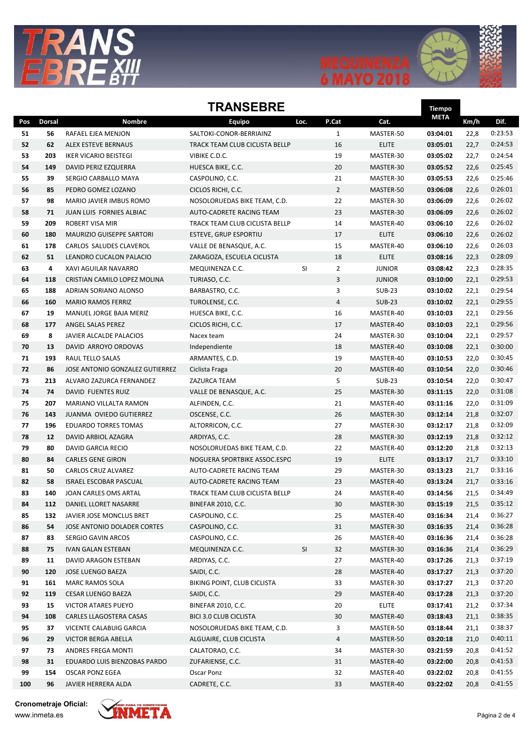





Tiempo

## **TRANSFRRF**

|     |        |                                  |                                |                      |                |               | <b>GILLA</b> |      |         |
|-----|--------|----------------------------------|--------------------------------|----------------------|----------------|---------------|--------------|------|---------|
| Pos | Dorsal | <b>Nombre</b>                    | Equipo                         | Loc.                 | P.Cat          | Cat.          | <b>META</b>  | Km/h | Dif.    |
| 51  | 56     | RAFAEL EJEA MENJON               | SALTOKI-CONOR-BERRIAINZ        |                      | 1              | MASTER-50     | 03:04:01     | 22,8 | 0:23:53 |
| 52  | 62     | ALEX ESTEVE BERNAUS              | TRACK TEAM CLUB CICLISTA BELLP |                      | 16             | <b>ELITE</b>  | 03:05:01     | 22,7 | 0:24:53 |
| 53  | 203    | <b>IKER VICARIO BEISTEGI</b>     | VIBIKE C.D.C.                  |                      | 19             | MASTER-30     | 03:05:02     | 22,7 | 0:24:54 |
| 54  | 149    | DAVID PERIZ EZQUERRA             | HUESCA BIKE, C.C.              |                      | 20             | MASTER-30     | 03:05:52     | 22,6 | 0:25:45 |
| 55  | 39     | SERGIO CARBALLO MAYA             | CASPOLINO, C.C.                |                      | 21             | MASTER-30     | 03:05:53     | 22,6 | 0:25:46 |
| 56  | 85     | PEDRO GOMEZ LOZANO               | CICLOS RICHI, C.C.             |                      | $\overline{2}$ | MASTER-50     | 03:06:08     | 22,6 | 0:26:01 |
| 57  | 98     | MARIO JAVIER IMBUS ROMO          | NOSOLORUEDAS BIKE TEAM, C.D.   |                      | 22             | MASTER-30     | 03:06:09     | 22,6 | 0:26:02 |
| 58  | 71     | JUAN LUIS FORNIES ALBIAC         | AUTO-CADRETE RACING TEAM       |                      | 23             | MASTER-30     | 03:06:09     | 22,6 | 0:26:02 |
| 59  | 209    | <b>ROBERT VISA MIR</b>           | TRACK TEAM CLUB CICLISTA BELLP |                      | 14             | MASTER-40     | 03:06:10     | 22,6 | 0:26:02 |
| 60  | 180    | <b>MAURIZIO GUISEPPE SARTORI</b> | ESTEVE, GRUP ESPORTIU          |                      | 17             | <b>ELITE</b>  | 03:06:10     | 22,6 | 0:26:02 |
| 61  | 178    | CARLOS SALUDES CLAVEROL          | VALLE DE BENASQUE, A.C.        |                      | 15             | MASTER-40     | 03:06:10     | 22,6 | 0:26:03 |
| 62  | 51     | LEANDRO CUCALON PALACIO          | ZARAGOZA, ESCUELA CICLISTA     |                      | 18             | <b>ELITE</b>  | 03:08:16     | 22,3 | 0:28:09 |
| 63  | 4      | XAVI AGUILAR NAVARRO             | MEQUINENZA C.C.                | SI                   | $\overline{2}$ | <b>JUNIOR</b> | 03:08:42     | 22,3 | 0:28:35 |
| 64  | 118    | CRISTIAN CAMILO LOPEZ MOLINA     | TURIASO, C.C.                  |                      | 3              | <b>JUNIOR</b> | 03:10:00     | 22,1 | 0:29:53 |
| 65  | 188    | ADRIAN SORIANO ALONSO            | BARBASTRO, C.C.                |                      | 3              | <b>SUB-23</b> | 03:10:02     | 22,1 | 0:29:54 |
| 66  | 160    | <b>MARIO RAMOS FERRIZ</b>        | TUROLENSE, C.C.                |                      | 4              | <b>SUB-23</b> | 03:10:02     | 22,1 | 0:29:55 |
| 67  | 19     | MANUEL JORGE BAJA MERIZ          | HUESCA BIKE, C.C.              |                      | 16             | MASTER-40     | 03:10:03     | 22,1 | 0:29:56 |
| 68  | 177    | ANGEL SALAS PEREZ                | CICLOS RICHI, C.C.             |                      | 17             | MASTER-40     | 03:10:03     | 22,1 | 0:29:56 |
| 69  | 8      | <b>JAVIER ALCALDE PALACIOS</b>   | Nacex team                     |                      | 24             | MASTER-30     | 03:10:04     | 22,1 | 0:29:57 |
| 70  | 13     | DAVID ARROYO ORDOVAS             | Independiente                  |                      | 18             | MASTER-40     | 03:10:08     | 22,1 | 0:30:00 |
| 71  | 193    | <b>RAUL TELLO SALAS</b>          | ARMANTES, C.D.                 |                      | 19             | MASTER-40     | 03:10:53     | 22,0 | 0:30:45 |
| 72  | 86     | JOSE ANTONIO GONZALEZ GUTIERREZ  | Ciclista Fraga                 |                      | 20             | MASTER-40     | 03:10:54     | 22,0 | 0:30:46 |
| 73  | 213    | ALVARO ZAZURCA FERNANDEZ         | ZAZURCA TEAM                   |                      | 5              | <b>SUB-23</b> | 03:10:54     | 22,0 | 0:30:47 |
| 74  | 74     | DAVID FUENTES RUIZ               | VALLE DE BENASQUE, A.C.        |                      | 25             | MASTER-30     | 03:11:15     | 22,0 | 0:31:08 |
| 75  | 207    | MARIANO VILLALTA RAMON           | ALFINDEN, C.C.                 |                      | 21             | MASTER-40     | 03:11:16     | 22,0 | 0:31:09 |
| 76  | 143    | JUANMA OVIEDO GUTIERREZ          | OSCENSE, C.C.                  |                      | 26             | MASTER-30     | 03:12:14     | 21,8 | 0:32:07 |
| 77  | 196    | <b>EDUARDO TORRES TOMAS</b>      | ALTORRICON, C.C.               |                      | 27             | MASTER-30     | 03:12:17     | 21,8 | 0:32:09 |
| 78  | 12     | DAVID ARBIOL AZAGRA              | ARDIYAS, C.C.                  |                      | 28             | MASTER-30     | 03:12:19     | 21,8 | 0:32:12 |
| 79  | 80     | DAVID GARCIA RECIO               | NOSOLORUEDAS BIKE TEAM, C.D.   |                      | 22             | MASTER-40     | 03:12:20     | 21,8 | 0:32:13 |
| 80  | 84     | <b>CARLES GENE GIRON</b>         | NOGUERA SPORTBIKE ASSOC.ESPC   |                      | 19             | <b>ELITE</b>  | 03:13:17     | 21,7 | 0:33:10 |
| 81  | 50     | <b>CARLOS CRUZ ALVAREZ</b>       | AUTO-CADRETE RACING TEAM       |                      | 29             | MASTER-30     | 03:13:23     | 21,7 | 0:33:16 |
| 82  | 58     | <b>ISRAEL ESCOBAR PASCUAL</b>    | AUTO-CADRETE RACING TEAM       |                      | 23             | MASTER-40     | 03:13:24     | 21,7 | 0:33:16 |
| 83  | 140    | JOAN CARLES OMS ARTAL            | TRACK TEAM CLUB CICLISTA BELLP |                      | 24             | MASTER-40     | 03:14:56     | 21,5 | 0:34:49 |
| 84  | 112    | DANIEL LLORET NASARRE            | <b>BINEFAR 2010, C.C.</b>      |                      | 30             | MASTER-30     | 03:15:19     | 21,5 | 0:35:12 |
| 85  | 132    | JAVIER JOSE MONCLUS BRET         | CASPOLINO, C.C.                |                      | 25             | MASTER-40     | 03:16:34     | 21,4 | 0:36:27 |
| 86  | 54     | JOSE ANTONIO DOLADER CORTES      | CASPOLINO, C.C.                |                      | 31             | MASTER-30     | 03:16:35     | 21,4 | 0:36:28 |
| 87  | 83     | SERGIO GAVIN ARCOS               | CASPOLINO, C.C.                |                      | 26             | MASTER-40     | 03:16:36     | 21,4 | 0:36:28 |
| 88  | 75     | <b>IVAN GALAN ESTEBAN</b>        | MEQUINENZA C.C.                | $\mathsf{SI}\xspace$ | 32             | MASTER-30     | 03:16:36     | 21,4 | 0:36:29 |
| 89  | 11     | DAVID ARAGON ESTEBAN             | ARDIYAS, C.C.                  |                      | 27             | MASTER-40     | 03:17:26     | 21,3 | 0:37:19 |
| 90  | 120    | JOSE LUENGO BAEZA                | SAIDI, C.C.                    |                      | 28             | MASTER-40     | 03:17:27     | 21,3 | 0:37:20 |
| 91  | 161    | <b>MARC RAMOS SOLA</b>           | BIKING POINT, CLUB CICLISTA    |                      | 33             | MASTER-30     | 03:17:27     | 21,3 | 0:37:20 |
| 92  | 119    | <b>CESAR LUENGO BAEZA</b>        | SAIDI, C.C.                    |                      | 29             | MASTER-40     | 03:17:28     | 21,3 | 0:37:20 |
| 93  | 15     | <b>VICTOR ATARES PUEYO</b>       | <b>BINEFAR 2010, C.C.</b>      |                      | 20             | <b>ELITE</b>  | 03:17:41     | 21,2 | 0:37:34 |
| 94  | 108    | CARLES LLAGOSTERA CASAS          | <b>BICI 3.0 CLUB CICLISTA</b>  |                      | 30             | MASTER-40     | 03:18:43     | 21,1 | 0:38:35 |
| 95  | 37     | VICENTE CALABUIG GARCIA          | NOSOLORUEDAS BIKE TEAM, C.D.   |                      | 3              | MASTER-50     | 03:18:44     | 21,1 | 0:38:37 |
| 96  | 29     | VICTOR BERGA ABELLA              | ALGUAIRE, CLUB CICLISTA        |                      | $\overline{4}$ | MASTER-50     | 03:20:18     | 21,0 | 0:40:11 |
| 97  | 73     | ANDRES FREGA MONTI               | CALATORAO, C.C.                |                      | 34             | MASTER-30     | 03:21:59     | 20,8 | 0:41:52 |
| 98  | 31     | EDUARDO LUIS BIENZOBAS PARDO     | ZUFARIENSE, C.C.               |                      | 31             | MASTER-40     | 03:22:00     | 20,8 | 0:41:53 |
| 99  | 154    | OSCAR PONZ EGEA                  | Oscar Ponz                     |                      | 32             | MASTER-40     | 03:22:02     | 20,8 | 0:41:55 |
| 100 | 96     | JAVIER HERRERA ALDA              | CADRETE, C.C.                  |                      | 33             | MASTER-40     | 03:22:02     | 20,8 | 0:41:55 |

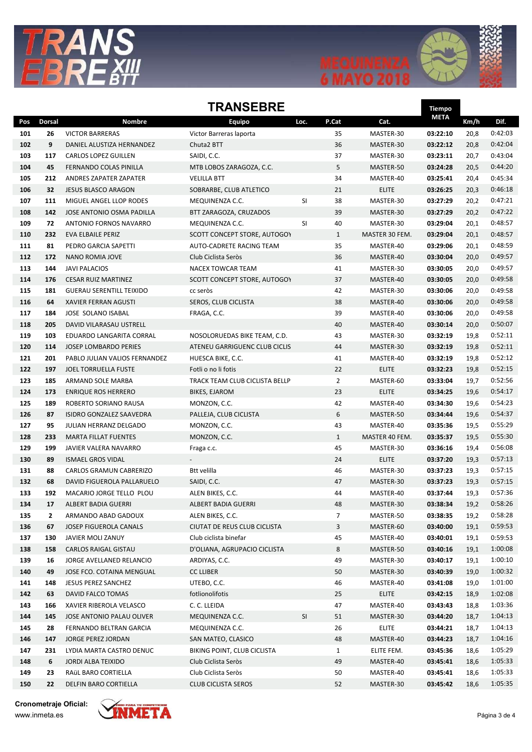



## **TRANSFRRF**

| IRANJEBRE  |               |                                                      |                                    |      | <b>Tiempo</b>  |                           |                      |              |                    |
|------------|---------------|------------------------------------------------------|------------------------------------|------|----------------|---------------------------|----------------------|--------------|--------------------|
| Pos        | <b>Dorsal</b> | <b>Nombre</b>                                        | Equipo                             | Loc. | P.Cat          | Cat.                      | <b>META</b>          | Km/h         | Dif.               |
| 101        | 26            | <b>VICTOR BARRERAS</b>                               | Victor Barreras laporta            |      | 35             | MASTER-30                 | 03:22:10             | 20,8         | 0:42:03            |
| 102        | 9             | DANIEL ALUSTIZA HERNANDEZ                            | Chuta <sub>2</sub> BTT             |      | 36             | MASTER-30                 | 03:22:12             | 20,8         | 0:42:04            |
| 103        | 117           | <b>CARLOS LOPEZ GUILLEN</b>                          | SAIDI, C.C.                        |      | 37             | MASTER-30                 | 03:23:11             | 20,7         | 0:43:04            |
| 104        | 45            | FERNANDO COLAS PINILLA                               | MTB LOBOS ZARAGOZA, C.C.           |      | 5              | MASTER-50                 | 03:24:28             | 20,5         | 0:44:20            |
| 105        | 212           | ANDRES ZAPATER ZAPATER                               | <b>VELILLA BTT</b>                 |      | 34             | MASTER-40                 | 03:25:41             | 20,4         | 0:45:34            |
| 106        | 32            | <b>JESUS BLASCO ARAGON</b>                           | SOBRARBE, CLUB ATLETICO            |      | 21             | <b>ELITE</b>              | 03:26:25             | 20,3         | 0:46:18            |
| 107        | 111           | MIGUEL ANGEL LLOP RODES                              | MEQUINENZA C.C.                    | SI   | 38             | MASTER-30                 | 03:27:29             | 20,2         | 0:47:21            |
| 108        | 142           | JOSE ANTONIO OSMA PADILLA                            | BTT ZARAGOZA, CRUZADOS             |      | 39             | MASTER-30                 | 03:27:29             | 20,2         | 0:47:22            |
| 109        | 72            | ANTONIO FORNOS NAVARRO                               | MEQUINENZA C.C.                    | SI   | 40             | MASTER-30                 | 03:29:04             | 20,1         | 0:48:57            |
| 110        | 232           | EVA ELBAILE PERIZ                                    | SCOTT CONCEPT STORE, AUTOGOY       |      | $\mathbf{1}$   | MASTER 30 FEM.            | 03:29:04             | 20,1         | 0:48:57            |
| 111        | 81            | PEDRO GARCIA SAPETTI                                 | AUTO-CADRETE RACING TEAM           |      | 35             | MASTER-40                 | 03:29:06             | 20,1         | 0:48:59            |
| 112        | 172           | NANO ROMIA JOVE                                      | Club Ciclista Seròs                |      | 36             | MASTER-40                 | 03:30:04             | 20,0         | 0:49:57            |
| 113        | 144           | <b>JAVI PALACIOS</b>                                 | <b>NACEX TOWCAR TEAM</b>           |      | 41             | MASTER-30                 | 03:30:05             | 20,0         | 0:49:57            |
| 114        | 176           | <b>CESAR RUIZ MARTINEZ</b>                           | SCOTT CONCEPT STORE, AUTOGOY       |      | 37             | MASTER-40                 | 03:30:05             | 20,0         | 0:49:58            |
| 115        | 181           | <b>GUERAU SERENTILL TEIXIDO</b>                      | cc seròs                           |      | 42             | MASTER-30                 | 03:30:06             | 20,0         | 0:49:58            |
| 116        | 64            | <b>XAVIER FERRAN AGUSTI</b>                          | SEROS, CLUB CICLISTA               |      | 38             | MASTER-40                 | 03:30:06             | 20,0         | 0:49:58            |
| 117        | 184           | JOSE SOLANO ISABAL                                   | FRAGA, C.C.                        |      | 39             | MASTER-40                 | 03:30:06             | 20,0         | 0:49:58            |
| 118        | 205           | DAVID VILARASAU USTRELL                              |                                    |      | 40             | MASTER-40                 | 03:30:14             | 20,0         | 0:50:07            |
| 119        | 103           | EDUARDO LANGARITA CORRAL                             | NOSOLORUEDAS BIKE TEAM, C.D.       |      | 43             | MASTER-30                 | 03:32:19             | 19,8         | 0:52:11            |
| 120        | 114           | <b>JOSEP LOMBARDO PERIES</b>                         | ATENEU GARRIGUENC CLUB CICLIS      |      | 44             | MASTER-30                 | 03:32:19             | 19,8         | 0:52:11            |
| 121        | 201           | PABLO JULIAN VALIOS FERNANDEZ                        | HUESCA BIKE, C.C.                  |      | 41             | MASTER-40                 | 03:32:19             | 19,8         | 0:52:12            |
| 122        | 197           | JOEL TORRUELLA FUSTE                                 | Fotli o no li fotis                |      | 22             | <b>ELITE</b>              | 03:32:23             | 19,8         | 0:52:15            |
| 123        | 185           | ARMAND SOLE MARBA                                    | TRACK TEAM CLUB CICLISTA BELLP     |      | $\overline{2}$ | MASTER-60                 | 03:33:04             | 19,7         | 0:52:56            |
| 124        | 173           | <b>ENRIQUE ROS HERRERO</b>                           | BIKES, EJAROM                      |      | 23             | <b>ELITE</b>              | 03:34:25             | 19,6         | 0:54:17            |
| 125        | 189           | ROBERTO SORIANO RAUSA                                | MONZON, C.C.                       |      | 42             | MASTER-40                 | 03:34:30             | 19,6         | 0:54:23            |
| 126        | 87            | ISIDRO GONZALEZ SAAVEDRA                             | PALLEJA, CLUB CICLISTA             |      | 6              | MASTER-50                 | 03:34:44             | 19,6         | 0:54:37            |
| 127        | 95            | JULIAN HERRANZ DELGADO                               | MONZON, C.C.                       |      | 43             | MASTER-40                 | 03:35:36             | 19,5         | 0:55:29            |
| 128        | 233           | <b>MARTA FILLAT FUENTES</b>                          | MONZON, C.C.                       |      | $\mathbf{1}$   | MASTER 40 FEM.            | 03:35:37             | 19,5         | 0:55:30            |
| 129        | 199           | JAVIER VALERA NAVARRO                                | Fraga c.c.                         |      | 45             | MASTER-30                 | 03:36:16             | 19,4         | 0:56:08            |
| 130        | 89            | <b>ISMAEL GROS VIDAL</b>                             |                                    |      | 24             | <b>ELITE</b>              | 03:37:20             | 19,3         | 0:57:13            |
| 131        | 88            | <b>CARLOS GRAMUN CABRERIZO</b>                       | Btt velilla                        |      | 46             | MASTER-30                 | 03:37:23             | 19,3         | 0:57:15            |
| 132        | 68            | DAVID FIGUEROLA PALLARUELO                           | SAIDI, C.C.                        |      | 47             | MASTER-30                 | 03:37:23             | 19,3         | 0:57:15            |
| 133        | 192           | MACARIO JORGE TELLO PLOU                             | ALEN BIKES, C.C.                   |      | 44             | MASTER-40                 | 03:37:44             | 19,3         | 0:57:36            |
| 134        | 17            | ALBERT BADIA GUERRI                                  | ALBERT BADIA GUERRI                |      | 48             | MASTER-30                 | 03:38:34             | 19,2         | 0:58:26            |
| 135        | 2             | ARMANDO ABAD GADOUX                                  | ALEN BIKES, C.C.                   |      | $\overline{7}$ | MASTER-50                 | 03:38:35             | 19,2         | 0:58:28            |
| 136        | 67            | JOSEP FIGUEROLA CANALS                               | CIUTAT DE REUS CLUB CICLISTA       |      | 3              | MASTER-60                 | 03:40:00             | 19,1         | 0:59:53            |
| 137        | 130           | JAVIER MOLI ZANUY                                    | Club ciclista binefar              |      | 45             | MASTER-40                 | 03:40:01             | 19,1         | 0:59:53            |
| 138        | 158           | CARLOS RAIGAL GISTAU                                 | D'OLIANA, AGRUPACIO CICLISTA       |      | 8              | MASTER-50                 | 03:40:16             | 19,1         | 1:00:08            |
| 139        | 16            | JORGE AVELLANED RELANCIO                             | ARDIYAS, C.C.                      |      | 49             | MASTER-30                 | 03:40:17             | 19,1         | 1:00:10            |
| 140        | 49            | JOSE FCO. COTAINA MENGUAL                            | <b>CC LLIBER</b>                   |      | 50             | MASTER-30                 | 03:40:39             | 19,0         | 1:00:32            |
| 141        | 148           | JESUS PEREZ SANCHEZ                                  | UTEBO, C.C.                        |      | 46             | MASTER-40                 | 03:41:08             | 19,0         | 1:01:00            |
| 142        | 63            | DAVID FALCO TOMAS                                    | fotlionolifotis                    |      | 25             | <b>ELITE</b>              | 03:42:15             | 18,9         | 1:02:08            |
| 143        | 166           | XAVIER RIBEROLA VELASCO<br>JOSE ANTONIO PALAU OLIVER | C. C. LLEIDA                       |      | 47             | MASTER-40                 | 03:43:43             | 18,8         | 1:03:36<br>1:04:13 |
| 144<br>145 | 145<br>28     | FERNANDO BELTRAN GARCIA                              | MEQUINENZA C.C.<br>MEQUINENZA C.C. | SI   | 51<br>26       | MASTER-30<br><b>ELITE</b> | 03:44:20<br>03:44:21 | 18,7<br>18,7 | 1:04:13            |
| 146        | 147           | JORGE PEREZ JORDAN                                   | SAN MATEO, CLASICO                 |      | 48             | MASTER-40                 | 03:44:23             | 18,7         | 1:04:16            |
| 147        | 231           | LYDIA MARTA CASTRO DENUC                             | BIKING POINT, CLUB CICLISTA        |      | $\mathbf{1}$   | ELITE FEM.                | 03:45:36             | 18,6         | 1:05:29            |
| 148        | 6             | JORDI ALBA TEIXIDO                                   | Club Ciclista Seròs                |      | 49             | MASTER-40                 | 03:45:41             | 18,6         | 1:05:33            |
| 149        | 23            | RAÜL BARO CORTIELLA                                  | Club Ciclista Seròs                |      | 50             | MASTER-40                 | 03:45:41             | 18,6         | 1:05:33            |
| 150        | 22            | DELFIN BARO CORTIELLA                                | <b>CLUB CICLISTA SEROS</b>         |      | 52             | MASTER-30                 | 03:45:42             | 18,6         | 1:05:35            |
|            |               |                                                      |                                    |      |                |                           |                      |              |                    |